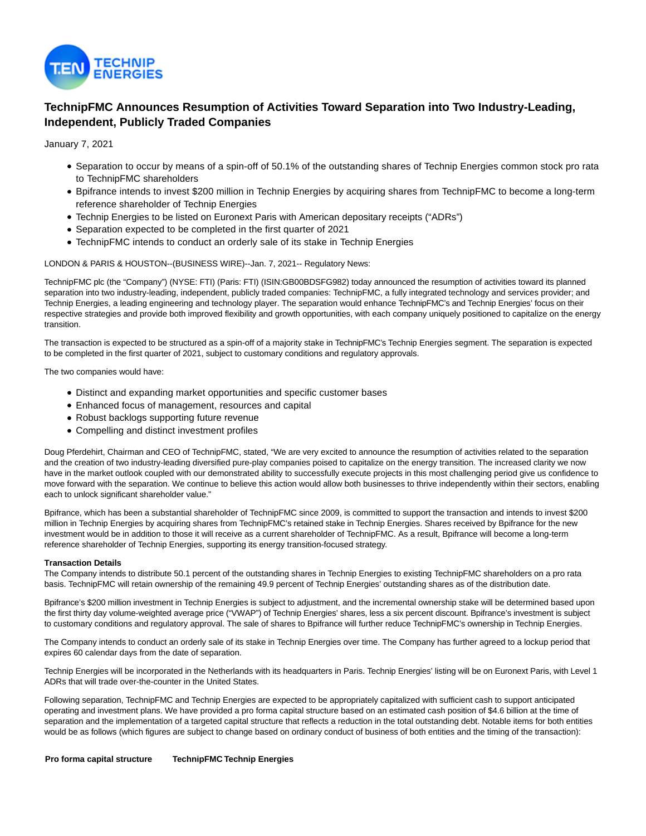

# **TechnipFMC Announces Resumption of Activities Toward Separation into Two Industry-Leading, Independent, Publicly Traded Companies**

January 7, 2021

- Separation to occur by means of a spin-off of 50.1% of the outstanding shares of Technip Energies common stock pro rata to TechnipFMC shareholders
- Bpifrance intends to invest \$200 million in Technip Energies by acquiring shares from TechnipFMC to become a long-term reference shareholder of Technip Energies
- Technip Energies to be listed on Euronext Paris with American depositary receipts ("ADRs")
- Separation expected to be completed in the first quarter of 2021
- TechnipFMC intends to conduct an orderly sale of its stake in Technip Energies

LONDON & PARIS & HOUSTON--(BUSINESS WIRE)--Jan. 7, 2021-- Regulatory News:

TechnipFMC plc (the "Company") (NYSE: FTI) (Paris: FTI) (ISIN:GB00BDSFG982) today announced the resumption of activities toward its planned separation into two industry-leading, independent, publicly traded companies: TechnipFMC, a fully integrated technology and services provider; and Technip Energies, a leading engineering and technology player. The separation would enhance TechnipFMC's and Technip Energies' focus on their respective strategies and provide both improved flexibility and growth opportunities, with each company uniquely positioned to capitalize on the energy transition.

The transaction is expected to be structured as a spin-off of a majority stake in TechnipFMC's Technip Energies segment. The separation is expected to be completed in the first quarter of 2021, subject to customary conditions and regulatory approvals.

The two companies would have:

- Distinct and expanding market opportunities and specific customer bases
- Enhanced focus of management, resources and capital
- Robust backlogs supporting future revenue
- Compelling and distinct investment profiles

Doug Pferdehirt, Chairman and CEO of TechnipFMC, stated, "We are very excited to announce the resumption of activities related to the separation and the creation of two industry-leading diversified pure-play companies poised to capitalize on the energy transition. The increased clarity we now have in the market outlook coupled with our demonstrated ability to successfully execute projects in this most challenging period give us confidence to move forward with the separation. We continue to believe this action would allow both businesses to thrive independently within their sectors, enabling each to unlock significant shareholder value."

Bpifrance, which has been a substantial shareholder of TechnipFMC since 2009, is committed to support the transaction and intends to invest \$200 million in Technip Energies by acquiring shares from TechnipFMC's retained stake in Technip Energies. Shares received by Bpifrance for the new investment would be in addition to those it will receive as a current shareholder of TechnipFMC. As a result, Bpifrance will become a long-term reference shareholder of Technip Energies, supporting its energy transition-focused strategy.

# **Transaction Details**

The Company intends to distribute 50.1 percent of the outstanding shares in Technip Energies to existing TechnipFMC shareholders on a pro rata basis. TechnipFMC will retain ownership of the remaining 49.9 percent of Technip Energies' outstanding shares as of the distribution date.

Bpifrance's \$200 million investment in Technip Energies is subject to adjustment, and the incremental ownership stake will be determined based upon the first thirty day volume-weighted average price ("VWAP") of Technip Energies' shares, less a six percent discount. Bpifrance's investment is subject to customary conditions and regulatory approval. The sale of shares to Bpifrance will further reduce TechnipFMC's ownership in Technip Energies.

The Company intends to conduct an orderly sale of its stake in Technip Energies over time. The Company has further agreed to a lockup period that expires 60 calendar days from the date of separation.

Technip Energies will be incorporated in the Netherlands with its headquarters in Paris. Technip Energies' listing will be on Euronext Paris, with Level 1 ADRs that will trade over-the-counter in the United States.

Following separation, TechnipFMC and Technip Energies are expected to be appropriately capitalized with sufficient cash to support anticipated operating and investment plans. We have provided a pro forma capital structure based on an estimated cash position of \$4.6 billion at the time of separation and the implementation of a targeted capital structure that reflects a reduction in the total outstanding debt. Notable items for both entities would be as follows (which figures are subject to change based on ordinary conduct of business of both entities and the timing of the transaction):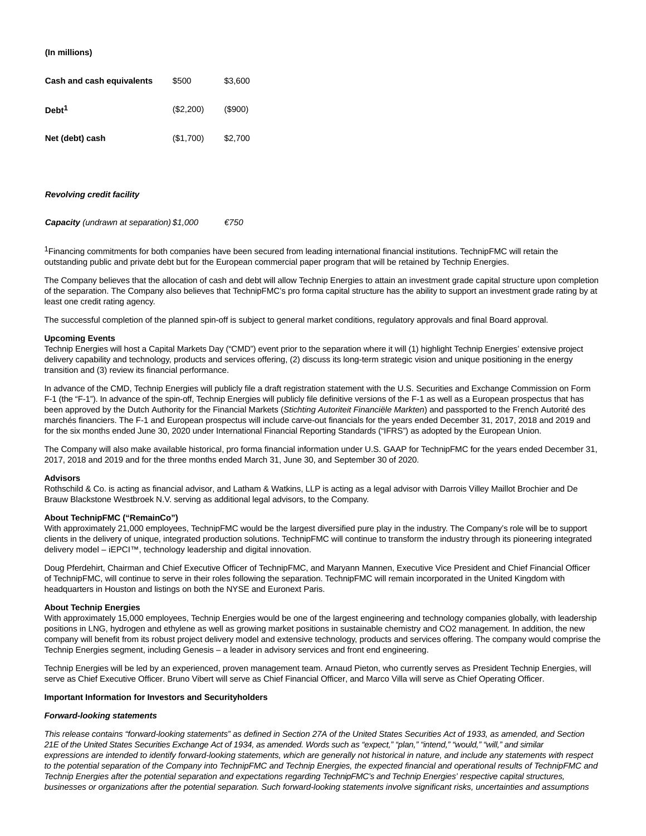## **(In millions)**

| Cash and cash equivalents | \$500     | \$3,600    |
|---------------------------|-----------|------------|
| Debt <sup>1</sup>         | (\$2,200) | $($ \$900) |
| Net (debt) cash           | (\$1,700) | \$2,700    |

#### **Revolving credit facility**

**Capacity** (undrawn at separation)  $$1,000$   $$750$ 

<sup>1</sup>Financing commitments for both companies have been secured from leading international financial institutions. TechnipFMC will retain the outstanding public and private debt but for the European commercial paper program that will be retained by Technip Energies.

The Company believes that the allocation of cash and debt will allow Technip Energies to attain an investment grade capital structure upon completion of the separation. The Company also believes that TechnipFMC's pro forma capital structure has the ability to support an investment grade rating by at least one credit rating agency.

The successful completion of the planned spin-off is subject to general market conditions, regulatory approvals and final Board approval.

## **Upcoming Events**

Technip Energies will host a Capital Markets Day ("CMD") event prior to the separation where it will (1) highlight Technip Energies' extensive project delivery capability and technology, products and services offering, (2) discuss its long-term strategic vision and unique positioning in the energy transition and (3) review its financial performance.

In advance of the CMD, Technip Energies will publicly file a draft registration statement with the U.S. Securities and Exchange Commission on Form F-1 (the "F-1"). In advance of the spin-off, Technip Energies will publicly file definitive versions of the F-1 as well as a European prospectus that has been approved by the Dutch Authority for the Financial Markets (Stichting Autoriteit Financiële Markten) and passported to the French Autorité des marchés financiers. The F-1 and European prospectus will include carve-out financials for the years ended December 31, 2017, 2018 and 2019 and for the six months ended June 30, 2020 under International Financial Reporting Standards ("IFRS") as adopted by the European Union.

The Company will also make available historical, pro forma financial information under U.S. GAAP for TechnipFMC for the years ended December 31, 2017, 2018 and 2019 and for the three months ended March 31, June 30, and September 30 of 2020.

#### **Advisors**

Rothschild & Co. is acting as financial advisor, and Latham & Watkins, LLP is acting as a legal advisor with Darrois Villey Maillot Brochier and De Brauw Blackstone Westbroek N.V. serving as additional legal advisors, to the Company.

## **About TechnipFMC ("RemainCo")**

With approximately 21,000 employees, TechnipFMC would be the largest diversified pure play in the industry. The Company's role will be to support clients in the delivery of unique, integrated production solutions. TechnipFMC will continue to transform the industry through its pioneering integrated delivery model – iEPCI™, technology leadership and digital innovation.

Doug Pferdehirt, Chairman and Chief Executive Officer of TechnipFMC, and Maryann Mannen, Executive Vice President and Chief Financial Officer of TechnipFMC, will continue to serve in their roles following the separation. TechnipFMC will remain incorporated in the United Kingdom with headquarters in Houston and listings on both the NYSE and Euronext Paris.

# **About Technip Energies**

With approximately 15,000 employees, Technip Energies would be one of the largest engineering and technology companies globally, with leadership positions in LNG, hydrogen and ethylene as well as growing market positions in sustainable chemistry and CO2 management. In addition, the new company will benefit from its robust project delivery model and extensive technology, products and services offering. The company would comprise the Technip Energies segment, including Genesis – a leader in advisory services and front end engineering.

Technip Energies will be led by an experienced, proven management team. Arnaud Pieton, who currently serves as President Technip Energies, will serve as Chief Executive Officer. Bruno Vibert will serve as Chief Financial Officer, and Marco Villa will serve as Chief Operating Officer.

## **Important Information for Investors and Securityholders**

## **Forward-looking statements**

This release contains "forward-looking statements" as defined in Section 27A of the United States Securities Act of 1933, as amended, and Section 21E of the United States Securities Exchange Act of 1934, as amended. Words such as "expect," "plan," "intend," "would," "will," and similar expressions are intended to identify forward-looking statements, which are generally not historical in nature, and include any statements with respect to the potential separation of the Company into TechnipFMC and Technip Energies, the expected financial and operational results of TechnipFMC and Technip Energies after the potential separation and expectations regarding TechnipFMC's and Technip Energies' respective capital structures, businesses or organizations after the potential separation. Such forward-looking statements involve significant risks, uncertainties and assumptions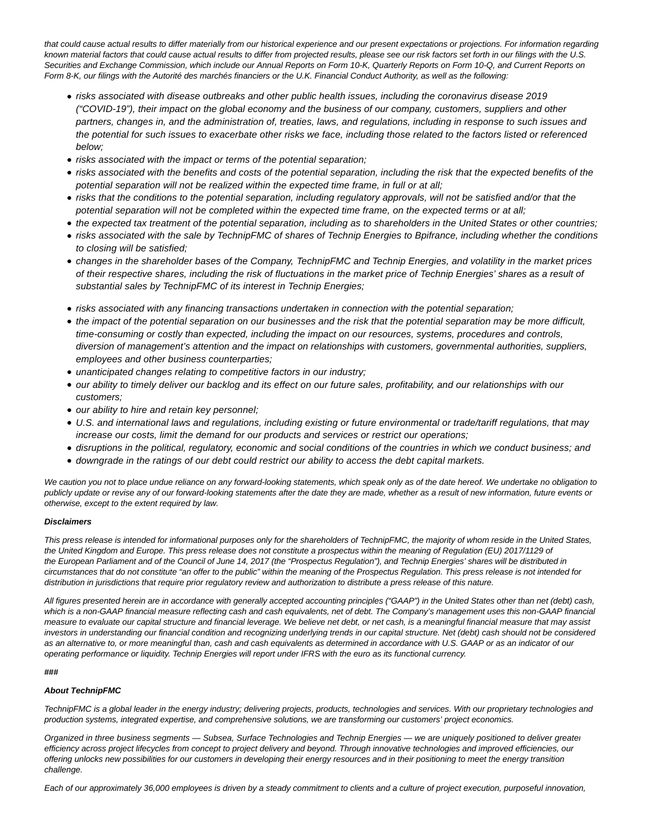that could cause actual results to differ materially from our historical experience and our present expectations or projections. For information regarding known material factors that could cause actual results to differ from projected results, please see our risk factors set forth in our filings with the U.S. Securities and Exchange Commission, which include our Annual Reports on Form 10-K, Quarterly Reports on Form 10-Q, and Current Reports on Form 8-K, our filings with the Autorité des marchés financiers or the U.K. Financial Conduct Authority, as well as the following:

- risks associated with disease outbreaks and other public health issues, including the coronavirus disease 2019 ("COVID-19"), their impact on the global economy and the business of our company, customers, suppliers and other partners, changes in, and the administration of, treaties, laws, and regulations, including in response to such issues and the potential for such issues to exacerbate other risks we face, including those related to the factors listed or referenced below;
- risks associated with the impact or terms of the potential separation;
- risks associated with the benefits and costs of the potential separation, including the risk that the expected benefits of the potential separation will not be realized within the expected time frame, in full or at all;
- risks that the conditions to the potential separation, including regulatory approvals, will not be satisfied and/or that the potential separation will not be completed within the expected time frame, on the expected terms or at all;
- the expected tax treatment of the potential separation, including as to shareholders in the United States or other countries;
- risks associated with the sale by TechnipFMC of shares of Technip Energies to Bpifrance, including whether the conditions to closing will be satisfied;
- changes in the shareholder bases of the Company, TechnipFMC and Technip Energies, and volatility in the market prices of their respective shares, including the risk of fluctuations in the market price of Technip Energies' shares as a result of substantial sales by TechnipFMC of its interest in Technip Energies;
- risks associated with any financing transactions undertaken in connection with the potential separation;
- the impact of the potential separation on our businesses and the risk that the potential separation may be more difficult, time-consuming or costly than expected, including the impact on our resources, systems, procedures and controls, diversion of management's attention and the impact on relationships with customers, governmental authorities, suppliers, employees and other business counterparties;
- unanticipated changes relating to competitive factors in our industry;
- our ability to timely deliver our backlog and its effect on our future sales, profitability, and our relationships with our customers;
- our ability to hire and retain key personnel;
- U.S. and international laws and regulations, including existing or future environmental or trade/tariff regulations, that may increase our costs, limit the demand for our products and services or restrict our operations;
- disruptions in the political, regulatory, economic and social conditions of the countries in which we conduct business; and
- downgrade in the ratings of our debt could restrict our ability to access the debt capital markets.

We caution you not to place undue reliance on any forward-looking statements, which speak only as of the date hereof. We undertake no obligation to publicly update or revise any of our forward-looking statements after the date they are made, whether as a result of new information, future events or otherwise, except to the extent required by law.

# **Disclaimers**

This press release is intended for informational purposes only for the shareholders of TechnipFMC, the majority of whom reside in the United States, the United Kingdom and Europe. This press release does not constitute a prospectus within the meaning of Regulation (EU) 2017/1129 of the European Parliament and of the Council of June 14, 2017 (the "Prospectus Regulation"), and Technip Energies' shares will be distributed in circumstances that do not constitute "an offer to the public" within the meaning of the Prospectus Regulation. This press release is not intended for distribution in jurisdictions that require prior regulatory review and authorization to distribute a press release of this nature.

All figures presented herein are in accordance with generally accepted accounting principles ("GAAP") in the United States other than net (debt) cash, which is a non-GAAP financial measure reflecting cash and cash equivalents, net of debt. The Company's management uses this non-GAAP financial measure to evaluate our capital structure and financial leverage. We believe net debt, or net cash, is a meaningful financial measure that may assist investors in understanding our financial condition and recognizing underlying trends in our capital structure. Net (debt) cash should not be considered as an alternative to, or more meaningful than, cash and cash equivalents as determined in accordance with U.S. GAAP or as an indicator of our operating performance or liquidity. Technip Energies will report under IFRS with the euro as its functional currency.

### **###**

# **About TechnipFMC**

TechnipFMC is a global leader in the energy industry; delivering projects, products, technologies and services. With our proprietary technologies and production systems, integrated expertise, and comprehensive solutions, we are transforming our customers' project economics.

Organized in three business segments — Subsea, Surface Technologies and Technip Energies — we are uniquely positioned to deliver greater efficiency across project lifecycles from concept to project delivery and beyond. Through innovative technologies and improved efficiencies, our offering unlocks new possibilities for our customers in developing their energy resources and in their positioning to meet the energy transition challenge.

Each of our approximately 36,000 employees is driven by a steady commitment to clients and a culture of project execution, purposeful innovation,